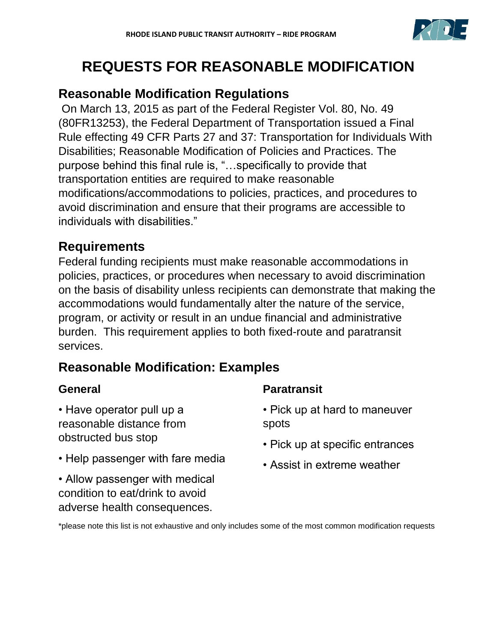

# **REQUESTS FOR REASONABLE MODIFICATION**

## **Reasonable Modification Regulations**

On March 13, 2015 as part of the Federal Register Vol. 80, No. 49 (80FR13253), the Federal Department of Transportation issued a Final Rule effecting 49 CFR Parts 27 and 37: Transportation for Individuals With Disabilities; Reasonable Modification of Policies and Practices. The purpose behind this final rule is, "…specifically to provide that transportation entities are required to make reasonable modifications/accommodations to policies, practices, and procedures to avoid discrimination and ensure that their programs are accessible to individuals with disabilities."

## **Requirements**

Federal funding recipients must make reasonable accommodations in policies, practices, or procedures when necessary to avoid discrimination on the basis of disability unless recipients can demonstrate that making the accommodations would fundamentally alter the nature of the service, program, or activity or result in an undue financial and administrative burden. This requirement applies to both fixed-route and paratransit services.

## **Reasonable Modification: Examples**

## **General**

• Have operator pull up a reasonable distance from obstructed bus stop

- Help passenger with fare media
- Allow passenger with medical condition to eat/drink to avoid adverse health consequences.

## **Paratransit**

- Pick up at hard to maneuver spots
- Pick up at specific entrances
- Assist in extreme weather

\*please note this list is not exhaustive and only includes some of the most common modification requests